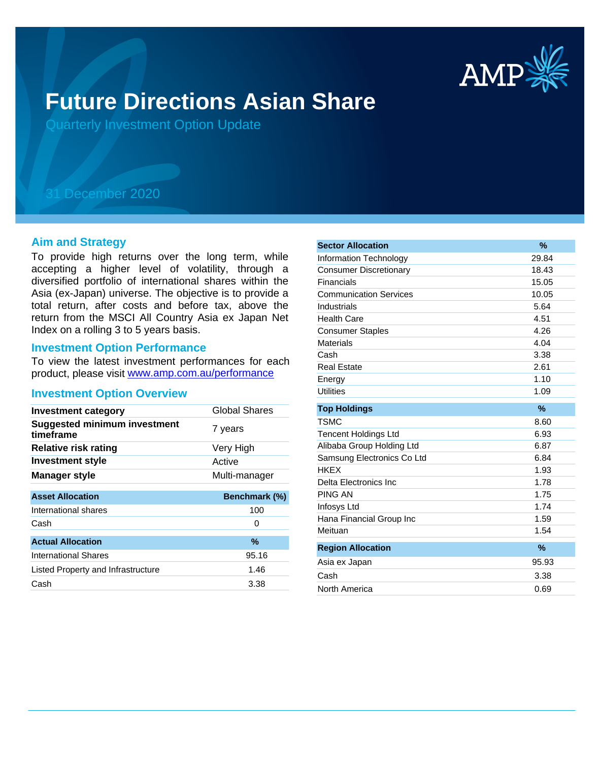

# **Future Directions Asian Share**

Quarterly Investment Option Update

# 31 December 2020

## **Aim and Strategy**

To provide high returns over the long term, while accepting a higher level of volatility, through a diversified portfolio of international shares within the Asia (ex-Japan) universe. The objective is to provide a total return, after costs and before tax, above the return from the MSCI All Country Asia ex Japan Net Index on a rolling 3 to 5 years basis.

## **Investment Option Performance**

product, please visit www.amp.com.au/performance To view the latest investment performances for each

#### **Investment Option Overview**

| <b>Investment category</b>                       | <b>Global Shares</b> |  |
|--------------------------------------------------|----------------------|--|
| <b>Suggested minimum investment</b><br>timeframe | 7 years              |  |
| Relative risk rating                             | Very High            |  |
| <b>Investment style</b>                          | Active               |  |
| <b>Manager style</b>                             | Multi-manager        |  |
|                                                  |                      |  |
| <b>Asset Allocation</b>                          | Benchmark (%)        |  |
| International shares                             | 100                  |  |
| Cash                                             | O                    |  |
| <b>Actual Allocation</b>                         | %                    |  |
| International Shares                             | 95.16                |  |
| Listed Property and Infrastructure               | 1.46                 |  |
| Cash                                             | 3.38                 |  |

| <b>Sector Allocation</b>      | $\%$  |
|-------------------------------|-------|
| <b>Information Technology</b> | 29.84 |
| <b>Consumer Discretionary</b> | 18.43 |
| Financials                    | 15.05 |
| <b>Communication Services</b> | 10.05 |
| Industrials                   | 5.64  |
| <b>Health Care</b>            | 4.51  |
| <b>Consumer Staples</b>       | 4.26  |
| <b>Materials</b>              | 4.04  |
| Cash                          | 3.38  |
| <b>Real Estate</b>            | 2.61  |
| Energy                        | 1.10  |
| <b>Utilities</b>              | 1.09  |
| <b>Top Holdings</b>           | $\%$  |
| <b>TSMC</b>                   | 8.60  |
| <b>Tencent Holdings Ltd</b>   | 6.93  |
| Alibaba Group Holding Ltd     | 6.87  |
| Samsung Electronics Co Ltd    | 6.84  |
| <b>HKEX</b>                   | 1.93  |
| Delta Electronics Inc.        | 1.78  |
| <b>PING AN</b>                | 1.75  |
| Infosys Ltd                   | 1.74  |
| Hana Financial Group Inc      | 1.59  |
| Meituan                       | 1.54  |
| <b>Region Allocation</b>      | $\%$  |
| Asia ex Japan                 | 95.93 |
| Cash                          | 3.38  |
| North America                 | 0.69  |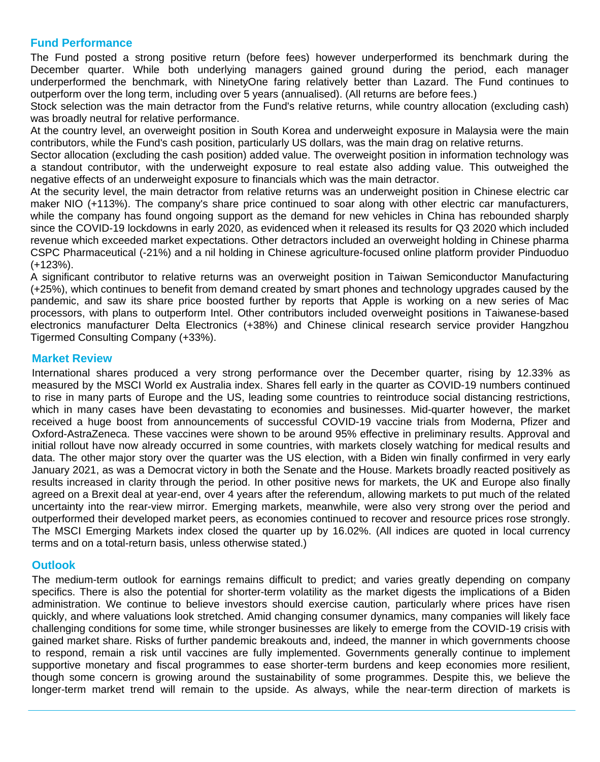## **Fund Performance**

The Fund posted a strong positive return (before fees) however underperformed its benchmark during the December quarter. While both underlying managers gained ground during the period, each manager underperformed the benchmark, with NinetyOne faring relatively better than Lazard. The Fund continues to outperform over the long term, including over 5 years (annualised). (All returns are before fees.)

Stock selection was the main detractor from the Fund's relative returns, while country allocation (excluding cash) was broadly neutral for relative performance.

At the country level, an overweight position in South Korea and underweight exposure in Malaysia were the main contributors, while the Fund's cash position, particularly US dollars, was the main drag on relative returns.

Sector allocation (excluding the cash position) added value. The overweight position in information technology was a standout contributor, with the underweight exposure to real estate also adding value. This outweighed the negative effects of an underweight exposure to financials which was the main detractor.

At the security level, the main detractor from relative returns was an underweight position in Chinese electric car maker NIO (+113%). The company's share price continued to soar along with other electric car manufacturers, while the company has found ongoing support as the demand for new vehicles in China has rebounded sharply since the COVID-19 lockdowns in early 2020, as evidenced when it released its results for Q3 2020 which included revenue which exceeded market expectations. Other detractors included an overweight holding in Chinese pharma CSPC Pharmaceutical (-21%) and a nil holding in Chinese agriculture-focused online platform provider Pinduoduo (+123%).

A significant contributor to relative returns was an overweight position in Taiwan Semiconductor Manufacturing (+25%), which continues to benefit from demand created by smart phones and technology upgrades caused by the pandemic, and saw its share price boosted further by reports that Apple is working on a new series of Mac processors, with plans to outperform Intel. Other contributors included overweight positions in Taiwanese-based electronics manufacturer Delta Electronics (+38%) and Chinese clinical research service provider Hangzhou Tigermed Consulting Company (+33%).

## **Market Review**

International shares produced a very strong performance over the December quarter, rising by 12.33% as measured by the MSCI World ex Australia index. Shares fell early in the quarter as COVID-19 numbers continued to rise in many parts of Europe and the US, leading some countries to reintroduce social distancing restrictions, which in many cases have been devastating to economies and businesses. Mid-quarter however, the market received a huge boost from announcements of successful COVID-19 vaccine trials from Moderna, Pfizer and Oxford-AstraZeneca. These vaccines were shown to be around 95% effective in preliminary results. Approval and initial rollout have now already occurred in some countries, with markets closely watching for medical results and data. The other major story over the quarter was the US election, with a Biden win finally confirmed in very early January 2021, as was a Democrat victory in both the Senate and the House. Markets broadly reacted positively as results increased in clarity through the period. In other positive news for markets, the UK and Europe also finally agreed on a Brexit deal at year-end, over 4 years after the referendum, allowing markets to put much of the related uncertainty into the rear-view mirror. Emerging markets, meanwhile, were also very strong over the period and outperformed their developed market peers, as economies continued to recover and resource prices rose strongly. The MSCI Emerging Markets index closed the quarter up by 16.02%. (All indices are quoted in local currency terms and on a total-return basis, unless otherwise stated.)

## **Outlook**

The medium-term outlook for earnings remains difficult to predict; and varies greatly depending on company specifics. There is also the potential for shorter-term volatility as the market digests the implications of a Biden administration. We continue to believe investors should exercise caution, particularly where prices have risen quickly, and where valuations look stretched. Amid changing consumer dynamics, many companies will likely face challenging conditions for some time, while stronger businesses are likely to emerge from the COVID-19 crisis with gained market share. Risks of further pandemic breakouts and, indeed, the manner in which governments choose to respond, remain a risk until vaccines are fully implemented. Governments generally continue to implement supportive monetary and fiscal programmes to ease shorter-term burdens and keep economies more resilient, though some concern is growing around the sustainability of some programmes. Despite this, we believe the longer-term market trend will remain to the upside. As always, while the near-term direction of markets is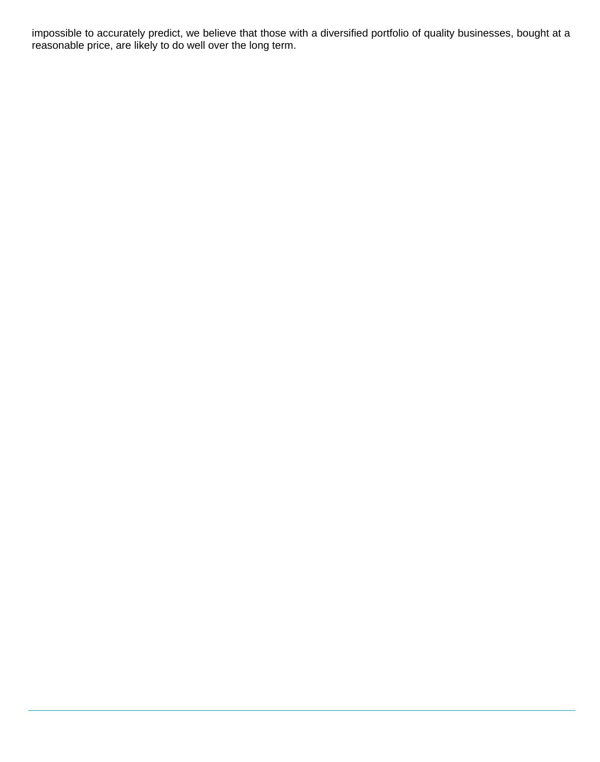impossible to accurately predict, we believe that those with a diversified portfolio of quality businesses, bought at a reasonable price, are likely to do well over the long term.